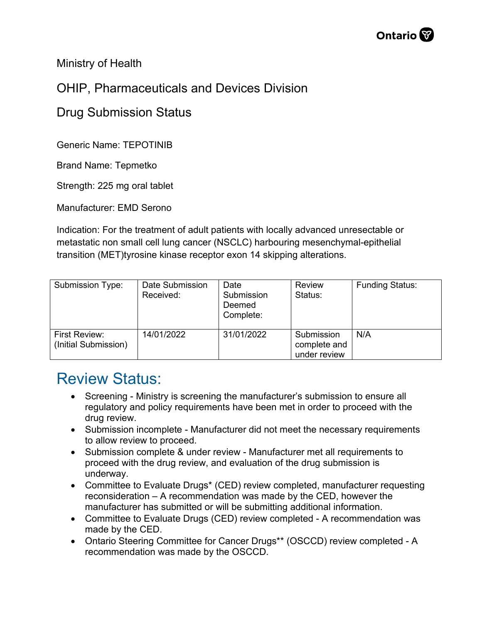

Ministry of Health

## OHIP, Pharmaceuticals and Devices Division

## Drug Submission Status

Generic Name: TEPOTINIB

Brand Name: Tepmetko

Strength: 225 mg oral tablet

Manufacturer: EMD Serono

Indication: For the treatment of adult patients with locally advanced unresectable or metastatic non small cell lung cancer (NSCLC) harbouring mesenchymal-epithelial transition (MET)tyrosine kinase receptor exon 14 skipping alterations.

| Submission Type:                      | Date Submission<br>Received: | Date<br>Submission<br>Deemed<br>Complete: | <b>Review</b><br>Status:                   | <b>Funding Status:</b> |
|---------------------------------------|------------------------------|-------------------------------------------|--------------------------------------------|------------------------|
| First Review:<br>(Initial Submission) | 14/01/2022                   | 31/01/2022                                | Submission<br>complete and<br>under review | N/A                    |

## Review Status:

- Screening Ministry is screening the manufacturer's submission to ensure all regulatory and policy requirements have been met in order to proceed with the drug review.
- Submission incomplete Manufacturer did not meet the necessary requirements to allow review to proceed.
- Submission complete & under review Manufacturer met all requirements to proceed with the drug review, and evaluation of the drug submission is underway.
- Committee to Evaluate Drugs\* (CED) review completed, manufacturer requesting reconsideration – A recommendation was made by the CED, however the manufacturer has submitted or will be submitting additional information.
- Committee to Evaluate Drugs (CED) review completed A recommendation was made by the CED.
- Ontario Steering Committee for Cancer Drugs\*\* (OSCCD) review completed A recommendation was made by the OSCCD.